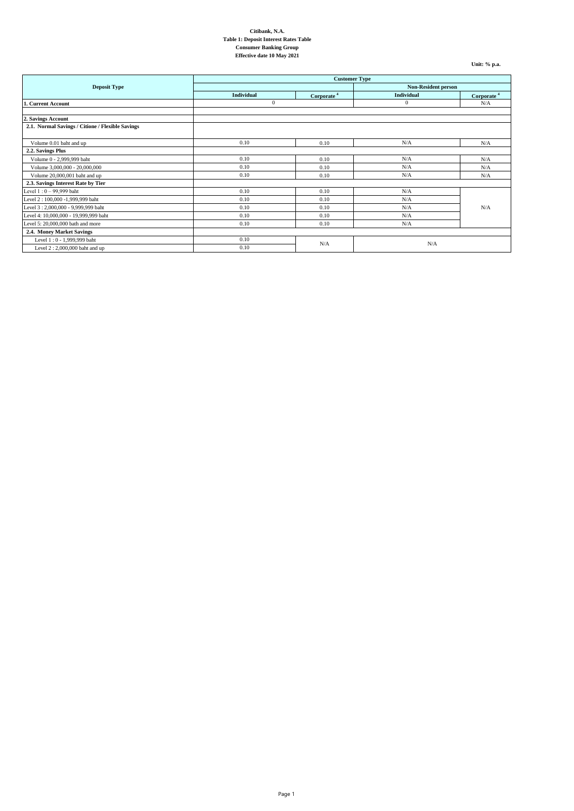**Unit: % p.a.**

|                                                  | <b>Customer Type</b>       |                        |            |                        |
|--------------------------------------------------|----------------------------|------------------------|------------|------------------------|
| <b>Deposit Type</b>                              | <b>Non-Resident person</b> |                        |            |                        |
|                                                  | Individual                 | Corporate <sup>4</sup> | Individual | Corporate <sup>4</sup> |
| 1. Current Account                               | $\theta$                   |                        | $\theta$   | N/A                    |
|                                                  |                            |                        |            |                        |
| 2. Savings Account                               |                            |                        |            |                        |
| 2.1. Normal Savings / Citione / Flexible Savings |                            |                        |            |                        |
|                                                  |                            |                        |            |                        |
| Volume 0.01 baht and up                          | 0.10                       | 0.10                   | N/A        | N/A                    |
| 2.2. Savings Plus                                |                            |                        |            |                        |
| Volume 0 - 2,999,999 baht                        | 0.10                       | 0.10                   | N/A        | N/A                    |
| Volume 3,000,000 - 20,000,000                    | 0.10                       | 0.10                   | N/A        | N/A                    |
| Volume 20,000,001 baht and up                    | 0.10                       | 0.10                   | N/A        | N/A                    |
| 2.3. Savings Interest Rate by Tier               |                            |                        |            |                        |
| Level 1:0 - 99,999 baht                          | 0.10                       | 0.10                   | N/A        |                        |
| Level 2:100,000 -1,999,999 baht                  | 0.10                       | 0.10                   | N/A        |                        |
| Level 3: 2,000,000 - 9,999,999 baht              | 0.10                       | 0.10                   | N/A        | N/A                    |
| Level 4: 10,000,000 - 19,999,999 baht            | 0.10                       | 0.10                   | N/A        |                        |
| Level 5: 20,000,000 bath and more                | 0.10                       | 0.10                   | N/A        |                        |
| 2.4. Money Market Savings                        |                            |                        |            |                        |
| Level 1:0 - 1,999,999 baht                       | 0.10                       | N/A                    | N/A        |                        |
| Level 2: 2,000,000 baht and up                   | 0.10                       |                        |            |                        |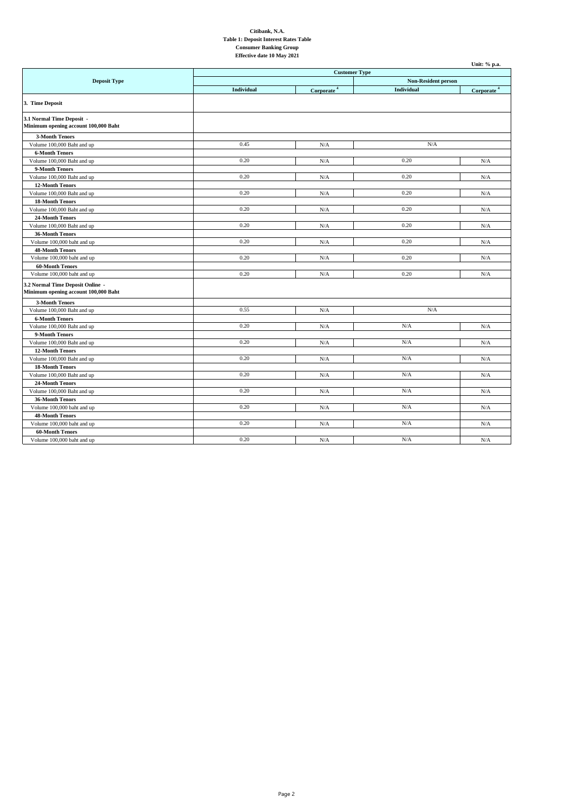|                                      |                      |                            |            | Unit: % p.a.           |
|--------------------------------------|----------------------|----------------------------|------------|------------------------|
|                                      | <b>Customer Type</b> |                            |            |                        |
| <b>Deposit Type</b>                  |                      | <b>Non-Resident person</b> |            |                        |
|                                      | Individual           | Corporate <sup>4</sup>     | Individual | Corporate <sup>4</sup> |
| 3. Time Deposit                      |                      |                            |            |                        |
| 3.1 Normal Time Deposit -            |                      |                            |            |                        |
| Minimum opening account 100,000 Baht |                      |                            |            |                        |
| <b>3-Month Tenors</b>                |                      |                            |            |                        |
| Volume 100,000 Baht and up           | 0.45                 | N/A                        | N/A        |                        |
| <b>6-Month Tenors</b>                |                      |                            |            |                        |
| Volume 100,000 Baht and up           | 0.20                 | N/A                        | 0.20       | N/A                    |
| 9-Month Tenors                       |                      |                            |            |                        |
| Volume 100,000 Baht and up           | 0.20                 | N/A                        | 0.20       | N/A                    |
| <b>12-Month Tenors</b>               |                      |                            |            |                        |
| Volume 100,000 Baht and up           | 0.20                 | N/A                        | 0.20       | N/A                    |
| <b>18-Month Tenors</b>               |                      |                            |            |                        |
| Volume 100,000 Baht and up           | 0.20                 | N/A                        | 0.20       | N/A                    |
| 24-Month Tenors                      |                      |                            |            |                        |
| Volume 100,000 Baht and up           | 0.20                 | N/A                        | 0.20       | N/A                    |
| 36-Month Tenors                      |                      |                            |            |                        |
| Volume 100,000 baht and up           | 0.20                 | N/A                        | 0.20       | N/A                    |
| <b>48-Month Tenors</b>               |                      |                            |            |                        |
| Volume 100,000 baht and up           | 0.20                 | N/A                        | 0.20       | N/A                    |
| <b>60-Month Tenors</b>               |                      |                            |            |                        |
| Volume 100,000 baht and up           | 0.20                 | N/A                        | 0.20       | N/A                    |
| 3.2 Normal Time Deposit Online -     |                      |                            |            |                        |
| Minimum opening account 100,000 Baht |                      |                            |            |                        |
| <b>3-Month Tenors</b>                |                      |                            |            |                        |
| Volume 100,000 Baht and up           | 0.55                 | N/A                        | N/A        |                        |
| <b>6-Month Tenors</b>                |                      |                            |            |                        |
| Volume 100,000 Baht and up           | 0.20                 | N/A                        | N/A        | N/A                    |
| 9-Month Tenors                       |                      |                            |            |                        |
| Volume 100,000 Baht and up           | 0.20                 | N/A                        | N/A        | N/A                    |
| <b>12-Month Tenors</b>               |                      |                            |            |                        |
| Volume 100,000 Baht and up           | 0.20                 | N/A                        | N/A        | N/A                    |
| <b>18-Month Tenors</b>               |                      |                            |            |                        |
| Volume 100,000 Baht and up           | 0.20                 | N/A                        | N/A        | N/A                    |
| 24-Month Tenors                      |                      |                            |            |                        |
| Volume 100,000 Baht and up           | 0.20                 | N/A                        | N/A        | N/A                    |
| 36-Month Tenors                      |                      |                            |            |                        |
| Volume 100,000 baht and up           | 0.20                 | N/A                        | N/A        | N/A                    |
| <b>48-Month Tenors</b>               |                      |                            |            |                        |
| Volume 100,000 baht and up           | 0.20                 | N/A                        | N/A        | N/A                    |
| <b>60-Month Tenors</b>               |                      |                            |            |                        |
| Volume 100,000 baht and up           | 0.20                 | N/A                        | N/A        | N/A                    |
|                                      |                      |                            |            |                        |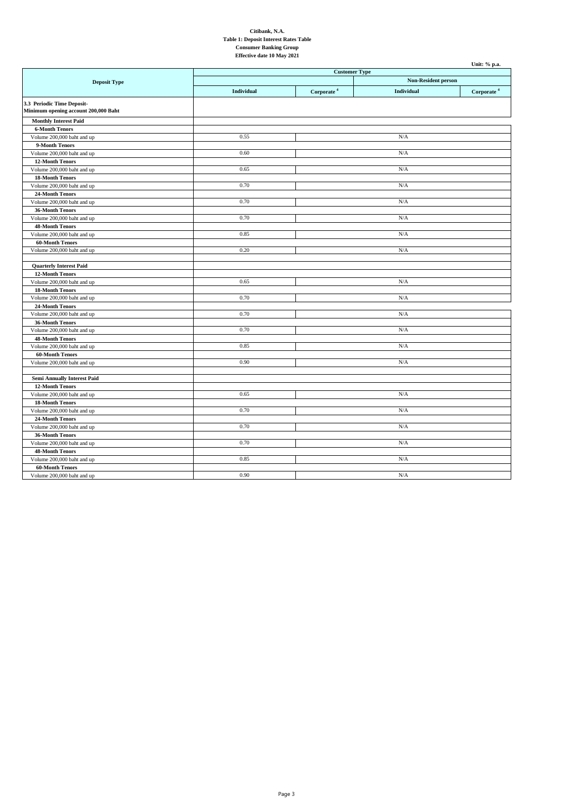|                                                                    |            |                                                    |            | Unit: % p.a.           |
|--------------------------------------------------------------------|------------|----------------------------------------------------|------------|------------------------|
|                                                                    |            | <b>Customer Type</b><br><b>Non-Resident person</b> |            |                        |
| <b>Deposit Type</b>                                                |            |                                                    |            |                        |
|                                                                    | Individual | Corporate <sup>4</sup>                             | Individual | Corporate <sup>4</sup> |
| 3.3 Periodic Time Deposit-<br>Minimum opening account 200,000 Baht |            |                                                    |            |                        |
| <b>Monthly Interest Paid</b>                                       |            |                                                    |            |                        |
| <b>6-Month Tenors</b>                                              |            |                                                    |            |                        |
| Volume 200,000 baht and up                                         | 0.55       |                                                    | N/A        |                        |
| 9-Month Tenors                                                     |            |                                                    |            |                        |
| Volume 200,000 baht and up                                         | 0.60       |                                                    | N/A        |                        |
| <b>12-Month Tenors</b>                                             |            |                                                    |            |                        |
| Volume 200,000 baht and up                                         | 0.65       |                                                    | N/A        |                        |
| <b>18-Month Tenors</b>                                             |            |                                                    |            |                        |
| Volume 200,000 baht and up                                         | 0.70       |                                                    | N/A        |                        |
| 24-Month Tenors                                                    |            |                                                    |            |                        |
| Volume 200,000 baht and up                                         | 0.70       |                                                    | N/A        |                        |
| 36-Month Tenors                                                    |            |                                                    |            |                        |
| Volume 200,000 baht and up                                         | 0.70       |                                                    | N/A        |                        |
| <b>48-Month Tenors</b>                                             |            |                                                    |            |                        |
| Volume 200,000 baht and up                                         | 0.85       |                                                    | N/A        |                        |
| <b>60-Month Tenors</b>                                             |            |                                                    |            |                        |
| Volume 200,000 baht and up                                         | 0.20       |                                                    | N/A        |                        |
| <b>Quarterly Interest Paid</b>                                     |            |                                                    |            |                        |
| <b>12-Month Tenors</b>                                             |            |                                                    |            |                        |
| Volume 200,000 baht and up                                         | 0.65       |                                                    | N/A        |                        |
| <b>18-Month Tenors</b>                                             |            |                                                    |            |                        |
| Volume 200,000 baht and up                                         | 0.70       |                                                    | N/A        |                        |
| 24-Month Tenors                                                    |            |                                                    |            |                        |
| Volume 200,000 baht and up                                         | 0.70       |                                                    | N/A        |                        |
| 36-Month Tenors                                                    |            |                                                    |            |                        |
| Volume 200,000 baht and up                                         | 0.70       |                                                    | N/A        |                        |
| <b>48-Month Tenors</b>                                             |            |                                                    |            |                        |
| Volume 200,000 baht and up                                         | 0.85       |                                                    | N/A        |                        |
| <b>60-Month Tenors</b>                                             |            |                                                    |            |                        |
| Volume 200,000 baht and up                                         | 0.90       |                                                    | N/A        |                        |
| <b>Semi Annually Interest Paid</b>                                 |            |                                                    |            |                        |
| <b>12-Month Tenors</b>                                             |            |                                                    |            |                        |
| Volume 200,000 baht and up                                         | 0.65       |                                                    | N/A        |                        |
| <b>18-Month Tenors</b>                                             |            |                                                    |            |                        |
| Volume 200,000 baht and up                                         | 0.70       |                                                    | N/A        |                        |
| 24-Month Tenors                                                    |            |                                                    |            |                        |
| Volume 200,000 baht and up                                         | 0.70       |                                                    | N/A        |                        |
| 36-Month Tenors                                                    |            |                                                    |            |                        |
| Volume 200,000 baht and up                                         | 0.70       |                                                    | N/A        |                        |
| <b>48-Month Tenors</b>                                             |            |                                                    |            |                        |
| Volume 200,000 baht and up                                         | 0.85       |                                                    | N/A        |                        |
| <b>60-Month Tenors</b>                                             |            |                                                    |            |                        |
| Volume 200,000 baht and up                                         | 0.90       |                                                    | N/A        |                        |
|                                                                    |            |                                                    |            |                        |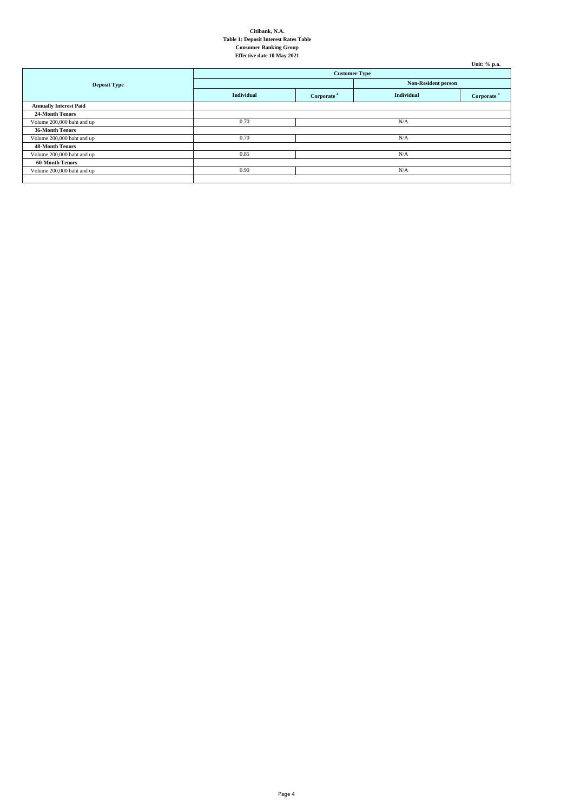|                               |                      |                        |                            | Unit: % p.a.           |
|-------------------------------|----------------------|------------------------|----------------------------|------------------------|
|                               | <b>Customer Type</b> |                        |                            |                        |
| <b>Deposit Type</b>           |                      |                        | <b>Non-Resident person</b> |                        |
|                               | Individual           | Corporate <sup>4</sup> | <b>Individual</b>          | Corporate <sup>4</sup> |
| <b>Annually Interest Paid</b> |                      |                        |                            |                        |
| 24-Month Tenors               |                      |                        |                            |                        |
| Volume 200,000 baht and up    | 0.70                 |                        | N/A                        |                        |
| 36-Month Tenors               |                      |                        |                            |                        |
| Volume 200,000 baht and up    | 0.70                 |                        | N/A                        |                        |
| <b>48-Month Tenors</b>        |                      |                        |                            |                        |
| Volume 200,000 baht and up    | 0.85                 |                        | N/A                        |                        |
| <b>60-Month Tenors</b>        |                      |                        |                            |                        |
| Volume 200,000 baht and up    | 0.90                 |                        | N/A                        |                        |
|                               |                      |                        |                            |                        |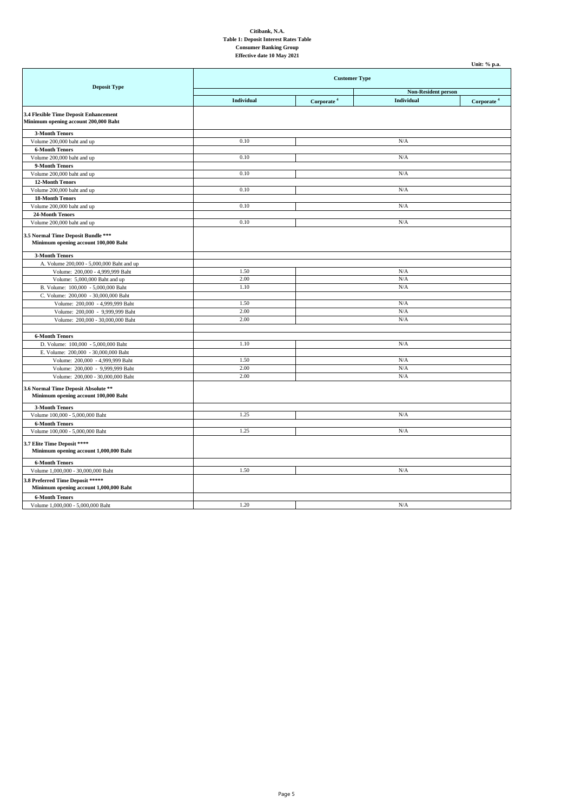|                                                                               |                      |                            |                   | Unit: % p.a.           |
|-------------------------------------------------------------------------------|----------------------|----------------------------|-------------------|------------------------|
|                                                                               | <b>Customer Type</b> |                            |                   |                        |
| <b>Deposit Type</b>                                                           |                      | <b>Non-Resident person</b> |                   |                        |
|                                                                               | Individual           | Corporate <sup>4</sup>     | <b>Individual</b> | Corporate <sup>4</sup> |
| 3.4 Flexible Time Deposit Enhancement<br>Minimum opening account 200,000 Baht |                      |                            |                   |                        |
| <b>3-Month Tenors</b>                                                         |                      |                            |                   |                        |
| Volume 200,000 baht and up                                                    | 0.10                 |                            | N/A               |                        |
| <b>6-Month Tenors</b>                                                         |                      |                            |                   |                        |
| Volume 200,000 baht and up                                                    | 0.10                 |                            | N/A               |                        |
| 9-Month Tenors                                                                |                      |                            |                   |                        |
| Volume 200,000 baht and up                                                    | 0.10                 |                            | N/A               |                        |
| 12-Month Tenors                                                               |                      |                            |                   |                        |
| Volume 200,000 baht and up                                                    | 0.10                 |                            | N/A               |                        |
| <b>18-Month Tenors</b>                                                        |                      |                            |                   |                        |
| Volume 200,000 baht and up                                                    | 0.10                 |                            | N/A               |                        |
| 24-Month Tenors                                                               |                      |                            |                   |                        |
| Volume 200,000 baht and up                                                    | 0.10                 |                            | N/A               |                        |
| 3.5 Normal Time Deposit Bundle ***<br>Minimum opening account 100,000 Baht    |                      |                            |                   |                        |
| <b>3-Month Tenors</b>                                                         |                      |                            |                   |                        |
| A. Volume 200,000 - 5,000,000 Baht and up                                     |                      |                            |                   |                        |
| Volume: 200,000 - 4,999,999 Baht                                              | 1.50                 |                            | N/A               |                        |
| Volume: 5,000,000 Baht and up                                                 | 2.00                 |                            | N/A               |                        |
| B. Volume: 100,000 - 5,000,000 Baht                                           | 1.10                 |                            | N/A               |                        |
| C. Volume: 200,000 - 30,000,000 Baht                                          |                      |                            |                   |                        |
| Volume: 200,000 - 4,999,999 Baht                                              | 1.50                 |                            | N/A               |                        |
| Volume: 200,000 - 9,999,999 Baht                                              | 2.00                 |                            | N/A               |                        |
| Volume: 200,000 - 30,000,000 Baht                                             | 2.00                 |                            | N/A               |                        |
|                                                                               |                      |                            |                   |                        |
| <b>6-Month Tenors</b>                                                         |                      |                            |                   |                        |
| D. Volume: 100,000 - 5,000,000 Baht                                           | 1.10                 |                            | N/A               |                        |
| E. Volume: 200,000 - 30,000,000 Baht                                          |                      |                            |                   |                        |
| Volume: 200,000 - 4,999,999 Baht                                              | 1.50                 |                            | N/A               |                        |
| Volume: 200,000 - 9,999,999 Baht                                              | 2.00                 |                            | N/A               |                        |
| Volume: 200,000 - 30,000,000 Baht                                             | 2.00                 |                            | N/A               |                        |
| 3.6 Normal Time Deposit Absolute **<br>Minimum opening account 100,000 Baht   |                      |                            |                   |                        |
| <b>3-Month Tenors</b>                                                         |                      |                            |                   |                        |
| Volume 100,000 - 5,000,000 Baht                                               | 1.25                 |                            | N/A               |                        |
| <b>6-Month Tenors</b>                                                         |                      |                            |                   |                        |
| Volume 100,000 - 5,000,000 Baht                                               | 1.25                 |                            | N/A               |                        |
| 3.7 Elite Time Deposit ****<br>Minimum opening account 1,000,000 Baht         |                      |                            |                   |                        |
| <b>6-Month Tenors</b>                                                         |                      |                            |                   |                        |
| Volume 1,000,000 - 30,000,000 Baht                                            | 1.50                 |                            | N/A               |                        |
| 3.8 Preferred Time Deposit *****<br>Minimum opening account 1,000,000 Baht    |                      |                            |                   |                        |
| <b>6-Month Tenors</b>                                                         |                      |                            |                   |                        |
| Volume 1,000,000 - 5,000,000 Baht                                             | 1.20                 |                            | N/A               |                        |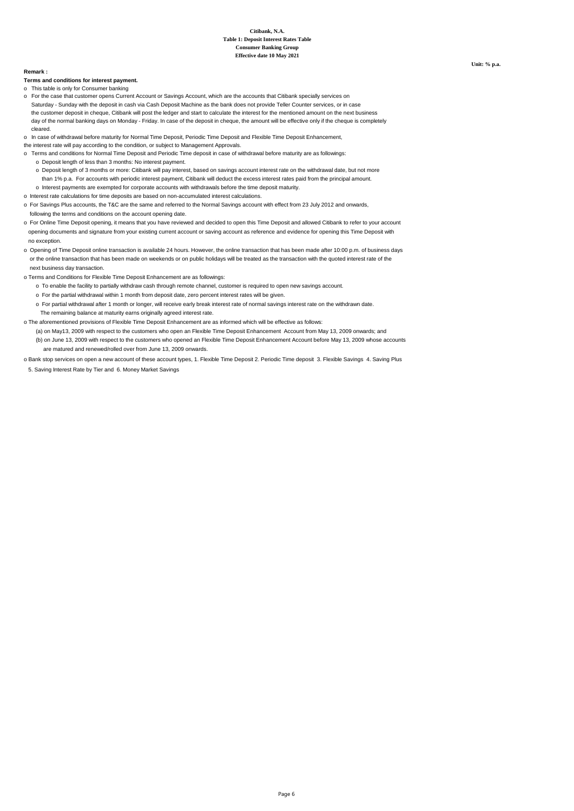#### **Remark :**

**Terms and conditions for interest payment.**

- o This table is only for Consumer banking
- Saturday Sunday with the deposit in cash via Cash Deposit Machine as the bank does not provide Teller Counter services, or in case the customer deposit in cheque, Citibank will post the ledger and start to calculate the interest for the mentioned amount on the next business day of the normal banking days on Monday - Friday. In case of the deposit in cheque, the amount will be effective only if the cheque is completely cleared. o For the case that customer opens Current Account or Savings Account, which are the accounts that Citibank specially services on

o In case of withdrawal before maturity for Normal Time Deposit, Periodic Time Deposit and Flexible Time Deposit Enhancement,

- the interest rate will pay according to the condition, or subject to Management Approvals.
- o Terms and conditions for Normal Time Deposit and Periodic Time deposit in case of withdrawal before maturity are as followings: o Deposit length of less than 3 months: No interest payment.
	- o Deposit length of 3 months or more: Citibank will pay interest, based on savings account interest rate on the withdrawal date, but not more than 1% p.a. For accounts with periodic interest payment, Citibank will deduct the excess interest rates paid from the principal amount. o Interest payments are exempted for corporate accounts with withdrawals before the time deposit maturity.
- o Interest rate calculations for time deposits are based on non-accumulated interest calculations.
- o For Savings Plus accounts, the T&C are the same and referred to the Normal Savings account with effect from 23 July 2012 and onwards, following the terms and conditions on the account opening date.
- o For Online Time Deposit opening, it means that you have reviewed and decided to open this Time Deposit and allowed Citibank to refer to your account opening documents and signature from your existing current account or saving account as reference and evidence for opening this Time Deposit with no exception.
- o Opening of Time Deposit online transaction is available 24 hours. However, the online transaction that has been made after 10:00 p.m. of business days or the online transaction that has been made on weekends or on public holidays will be treated as the transaction with the quoted interest rate of the next business day transaction.
- o Terms and Conditions for Flexible Time Deposit Enhancement are as followings:
	- o To enable the facility to partially withdraw cash through remote channel, customer is required to open new savings account.
	- o For the partial withdrawal within 1 month from deposit date, zero percent interest rates will be given.
	- o For partial withdrawal after 1 month or longer, will receive early break interest rate of normal savings interest rate on the withdrawn date. The remaining balance at maturity earns originally agreed interest rate.
- o The aforementioned provisions of Flexible Time Deposit Enhancement are as informed which will be effective as follows:
	- (a) on May13, 2009 with respect to the customers who open an Flexible Time Deposit Enhancement Account from May 13, 2009 onwards; and (b) on June 13, 2009 with respect to the customers who opened an Flexible Time Deposit Enhancement Account before May 13, 2009 whose accounts are matured and renewed/rolled over from June 13, 2009 onwards.
- o Bank stop services on open a new account of these account types, 1. Flexible Time Deposit 2. Periodic Time deposit 3. Flexible Savings 4. Saving Plus 5. Saving Interest Rate by Tier and 6. Money Market Savings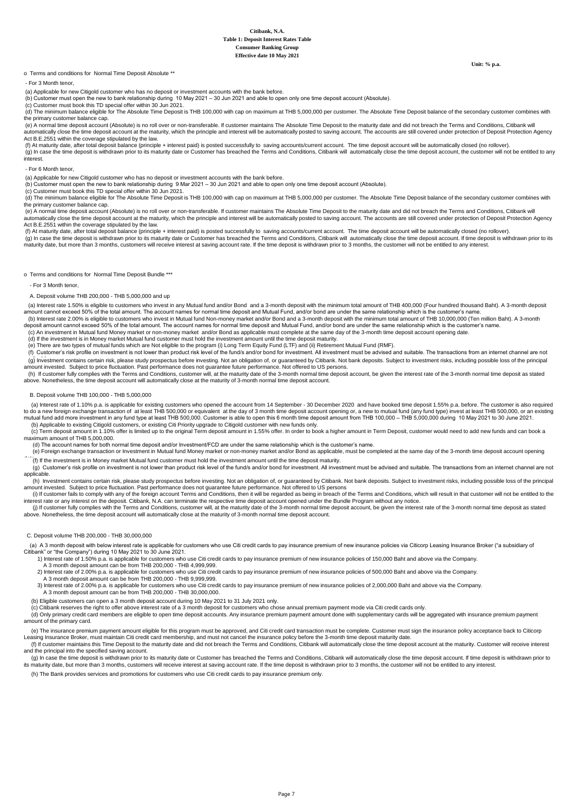**Unit: % p.a.**

## o Terms and conditions for Normal Time Deposit Absolute \*\*

## - For 3 Month tenor,

(a) Applicable for new Citigold customer who has no deposit or investment accounts with the bank before.

(b) Customer must open the new to bank relationship during 10 May 2021 – 30 Jun 2021 and able to open only one time deposit account (Absolute). (c) Customer must book this TD special offer within 30 Jun 2021.

(d) The minimum balance eligible for The Absolute Time Deposit is THB 100,000 with cap on maximum at THB 5,000,000 per customer. The Absolute Time Deposit balance of the secondary customer combines with the primary customer balance cap.

 $\sim$   $\mu$  and  $\mu$  are deposit account (Absolute) is no roll over or non-transferable. If customer maintains The Absolute Time Deposit to the maturity date and did not breach the Terms and Conditions, Citibank will automatically close the time deposit account at the maturity, which the principle and interest will be automatically posted to saving account. The accounts are still covered under protection of Deposit Protection Agency Act B.E.2551 within the coverage stipulated by the law.

(f) At maturity date, after total deposit balance (principle + interest paid) is posted successfully to saving accounts/current account. The time deposit account will be automatically closed (no rollover).<br>(g) In case the

interest.

#### - For 6 Month tenor,

(a) Applicable for new Citigold customer who has no deposit or investment accounts with the bank before.

(b) Customer must open the new to bank relationship during 9 Mar 2021 – 30 Jun 2021 and able to open only one time deposit account (Absolute).

(c) Customer must book this TD special offer within 30 Jun 2021.

(d) The minimum balance eligible for The Absolute Time Deposit is THB 100,000 with cap on maximum at THB 5,000,000 per customer. The Absolute Time Deposit balance of the secondary customer combines with (d) The minimum at the primary customer balance cap.

 (e) A normal time deposit account (Absolute) is no roll over or non-transferable. If customer maintains The Absolute Time Deposit to the maturity date and did not breach the Terms and Conditions, Citibank will automatically close the time deposit account at the maturity, which the principle and interest will be automatically posted to saving account. The accounts are still covered under protection of Deposit Protection Agency Act B.E.2551 within the coverage stipulated by the law.

(f) At maturity date, after total deposit balance (principle + interest paid) is posted successfully to saving accounts/current account. The time deposit account will be automatically closed (no rollover).

(g) In case the time deposit is withdrawn prior to its maturity date or Customer has breached the Terms and Conditions, Citibank will automatically close the time deposit account. If time deposit is withdrawn prior to its maturity date, but more than 3 months, customers will receive interest at saving account rate. If the time deposit is withdrawn prior to 3 months, the customer will not be entitled to any interest.

o Terms and conditions for Normal Time Deposit Bundle \*\*\*

#### - For 3 Month tenor,

#### A. Deposit volume THB 200,000 - THB 5,000,000 and up

 (a) Interest rate 1.50% is eligible to customers who invest in any Mutual fund and/or Bond and a 3-month deposit with the minimum total amount of THB 400,000 (Four hundred thousand Baht). A 3-month deposit amount cannot exceed 50% of the total amount. The account names for normal time deposit and Mutual Fund, and/or bond are under the same relationship which is the customer's name

 (b) Interest rate 2.00% is eligible to customers who invest in Mutual fund Non-money market and/or Bond and a 3-month deposit with the minimum total amount of THB 10,000,000 (Ten million Baht). A 3-month deposit amount cannot exceed 50% of the total amount. The account names for normal time deposit and Mutual Fund, and/or bond are under the same relationship which is the customer's name.

(c) An investment in Mutual fund Money market or non-money market and/or Bond as applicable must complete at the same day of the 3-month time deposit account opening date.

(d) If the investment is in Money market Mutual fund customer must hold the investment amount until the time deposit maturity.

(e) There are two types of mutual funds which are Not eligible to the program (i) Long Term Equity Fund (LTF) and (ii) Retirement Mutual Fund (RMF).

 (f) Customer's risk profile on investment is not lower than product risk level of the fund/s and/or bond for investment. All investment must be advised and suitable. The transactions from an internet channel are not (a) Investment contains certain risk, please study prospectus before investing. Not an obligation of, or quaranteed by Citibank, Not bank deposits. Subject to investment risks, including possible loss of the principal .<br>ount invested. Subject to price fluctuation. Past performance does not guarantee future performance. Not offered to US persons

 (h) If customer fully complies with the Terms and Conditions, customer will, at the maturity date of the 3-month normal time deposit account, be given the interest rate of the 3-month normal time deposit as stated above. Nonetheless, the time deposit account will automatically close at the maturity of 3-month normal time deposit account.

### B. Deposit volume THB 100,000 - THB 5,000,000

a) Interest rate of 1.10% p.a. is applicable for existing customers who opened the account from 14 September - 30 December 2020 and have booked time deposit 1.55% p.a. before. The customer is also required (a) required (a) .mutual fund add more investment in any fund type at least THB 500,000. Customer is able to open this 6 month time deposit amount from THB 100,000 – THB 5,000,000 during 10 May 2021 to 30 June 2021<br>(b) Applicable to existi

 (c) Term deposit amount in 1.10% offer is limited up to the original Term deposit amount in 1.55% offer. In order to book a higher amount in Term Deposit, customer would need to add new funds and can book a maximum amount of THB 5,000,000.

(d) The account names for both normal time deposit and/or Investment/FCD are under the same relationship which is the customer's name.<br>(e) Foreign exchange transaction or Investment in Mutual fund Money market or non-money  $(f)$  If the investment is in Money market Mutual fund customer must hold the investment amount until the time deposit maturity.

(g) Customer's risk profile on investment is not lower than product risk level of the fund/s and/or bond for investment. All investment must be advised and suitable. The transactions from an internet channel are not (g) Cu applicable.

 (h) Investment contains certain risk, please study prospectus before investing. Not an obligation of, or guaranteed by Citibank. Not bank deposits. Subject to investment risks, including possible loss of the principal amount invested. Subject to price fluctuation. Past performance does not guarantee future performance. Not offered to US persons

(i) If customer fails to comply with any of the foreign account Terms and Conditions, then it will be regarded as being in breach of the Terms and Conditions, which will result in that customer will not be entitled to the

(i) If customer fully complies with the Terms and Conditions, customer will, at the maturity date of the 3-month normal time deposit account, be given the interest rate of the 3-month normal time deposit as stated<br>above. N

### C. Deposit volume THB 200,000 - THB 30,000,000

(a) A 3 month deposit with below interest rate is applicable for customers who use Citi credit cards to pay insurance premium of new insurance policies via Citicorp Leasing Insurance Broker ("a subsidiary of Citibank" or "the Company") during 10 May 2021 to 30 June 2021.

- 1) Interest rate of 1.50% p.a. is applicable for customers who use Citi credit cards to pay insurance premium of new insurance policies of 150,000 Baht and above via the Company.
- A 3 month deposit amount can be from THB 200,000 THB 4,999,999.

2) Interest rate of 2.00% p.a. is applicable for customers who use Citi credit cards to pay insurance premium of new insurance policies of 500,000 Baht and above via the Company.

- A 3 month deposit amount can be from THB 200,000 THB 9,999,999.
- 3) Interest rate of 2.00% p.a. is applicable for customers who use Citi credit cards to pay insurance premium of new insurance policies of 2,000,000 Baht and above via the Company.<br>A 3 month deposit amount can be from THB

(b) Eligible customers can open a 3 month deposit account during 10 May 2021 to 31 July 2021 only.

(c) Citibank reserves the right to offer above interest rate of a 3 month deposit for customers who chose annual premium payment mode via Citi credit cards only.

 (d) Only primary credit card members are eligible to open time deposit accounts. Any insurance premium payment amount done with supplementary cards will be aggregated with insurance premium payment unt of the primary card.

 (e) The insurance premium payment amount eligible for this program must be approved, and Citi credit card transaction must be complete. Customer must sign the insurance policy acceptance back to Citicorp Leasing Insurance Broker, must maintain Citi credit card membership, and must not cancel the insurance policy before the 3-month time deposit maturity date.

 (f) If customer maintains this Time Deposit to the maturity date and did not breach the Terms and Conditions, Citibank will automatically close the time deposit account at the maturity. Customer will receive interest and the principal into the specified saving account.

(g) In case the time deposit is withdrawn prior to its maturity date or Customer has breached the Terms and Conditions, Citibank will automatically close the time deposit account. If time deposit is withdrawn prior to its maturity date, but more than 3 months, customers will receive interest at saving account rate. If the time deposit is withdrawn prior to 3 months, the customer will not be entitled to any interest.

(h) The Bank provides services and promotions for customers who use Citi credit cards to pay insurance premium only.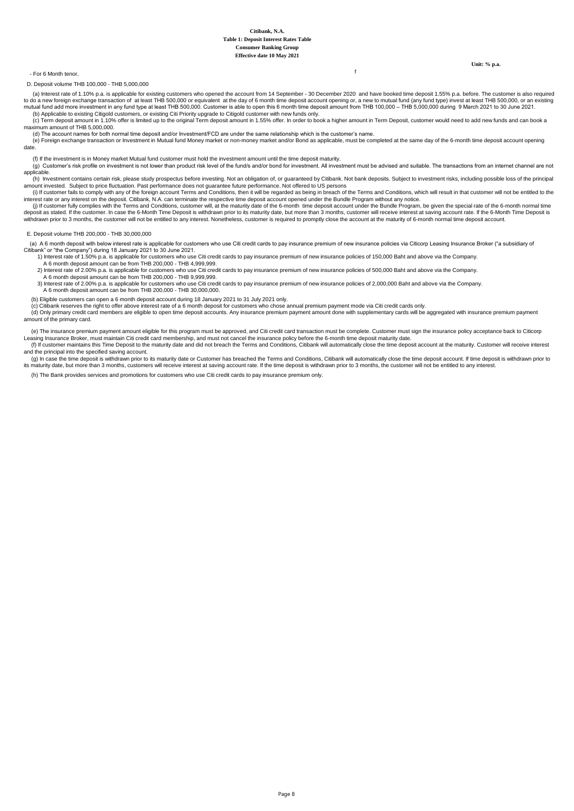**Unit: % p.a.**

# - For 6 Month tenor, f

D. Deposit volume THB 100,000 - THB 5,000,000

- a) Interest rate of 1.10% p.a. is applicable for existing customers who opened the account from 14 September 30 December 2020 and have booked time deposit 1.55% p.a. before. The customer is also required to do a new fore .mutual fund add more investment in any fund type at least THB 500,000. Customer is able to open this 6 month time deposit amount from THB 100,000 – THB 5,000,000 during 9 March 2021 to 30 June 2021<br>(b) Applicable to exis
- (c) Term deposit amount in 1.10% offer is limited up to the original Term deposit amount in 1.55% offer. In order to book a higher amount in Term Deposit, customer would need to add new funds and can book a maximum amount of THB 5,000,000.
- (d) The account names for both normal time deposit and/or Investment/FCD are under the same relationship which is the customer's name. (e) Foreign exchange transaction or Investment in Mutual fund Money market or non-money market and/or Bond as applicable, must be completed at the same day of the 6-month time deposit account opening date.
- 
- (f) If the investment is in Money market Mutual fund customer must hold the investment amount until the time deposit maturity.<br>(g) Customer's risk profile on investment is not lower than product risk level of the fund/s a applicable.
- (h) Investment contains certain risk, please study prospectus before investing. Not an obligation of, or quaranteed by Citibank. Not bank deposits. Subject to investment risks, including possible loss of the principal amount invested. Subject to price fluctuation. Past performance does not guarantee future performance. Not offered to US persons<br>(i) If customer fails to comply with any of the foreign account Terms and Conditions, then it
- interest rate or any interest on the deposit. Citibank, N.A. can terminate the respective time deposit account opened under the Bundle Program without any notice.
- $\epsilon_{\rm 0}$  if customer fully complies with the Terms and Conditions, customer will, at the maturity date of the 6-month time deposit account under the Bundle Program, be given the special rate of the 6-month normal time i deposit as stated. If the customer. In case the 6-Month Time Deposit is withdrawn prior to its maturity date, but more than 3 months, customer will receive interest at saving account rate. If the 6-Month Time Deposit is<br>wi

#### E. Deposit volume THB 200,000 - THB 30,000,000

(a) A 6 month deposit with below interest rate is applicable for customers who use Citi credit cards to pay insurance premium of new insurance policies via Citicorp Leasing Insurance Broker ("a subsidiary of

- Citibank" or "the Company") during 18 January 2021 to 30 June 2021.<br>-1) Interest rate of 1.50% p.a. is applicable for customers who use Citi credit cards to pay insurance premium of new insurance policies of 150,000 Baht
	- A 6 month deposit amount can be from THB 200,000 THB 4,999,999.
	- 2) Interest rate of 2.00% p.a. is applicable for customers who use Citi credit cards to pay insurance premium of new insurance policies of 500,000 Baht and above via the Company.
	- A 6 month deposit amount can be from THB 200,000 THB 9,999,999.
	- 3) Interest rate of 2.00% p.a. is applicable for customers who use Citi credit cards to pay insurance premium of new insurance policies of 2,000,000 Baht and above via the Company.
	- A 6 month deposit amount can be from THB 200,000 THB 30,000,000.
- (b) Eligible customers can open a 6 month deposit account during 18 January 2021 to 31 July 2021 only.<br>(c) Citibank reserves the right to offer above interest rate of a 6 month deposit for customers who chose annual premiu
- 
- (d) Only primary credit card members are eligible to open time deposit accounts. Any insurance premium payment amount done with supplementary cards will be aggregated with insurance premium payment amount of the primary card.
- e) The insurance premium payment amount eligible for this program must be approved, and Citi credit card transaction must be complete. Customer must sign the insurance policy acceptance back to Citicorp<br>Leasing Insurance B (f) If customer maintains this Time Deposit to the maturity date and did not breach the Terms and Conditions, Citibank will automatically close the time deposit account at the maturity. Customer will receive interest and the principal into the specified saving account.
- g) In case the time deposit is withdrawn prior to its maturity date or Customer has breached the Terms and Conditions, Citibank will automatically close the time deposit account. If time deposit is withdrawn prior to its m
- (h) The Bank provides services and promotions for customers who use Citi credit cards to pay insurance premium only.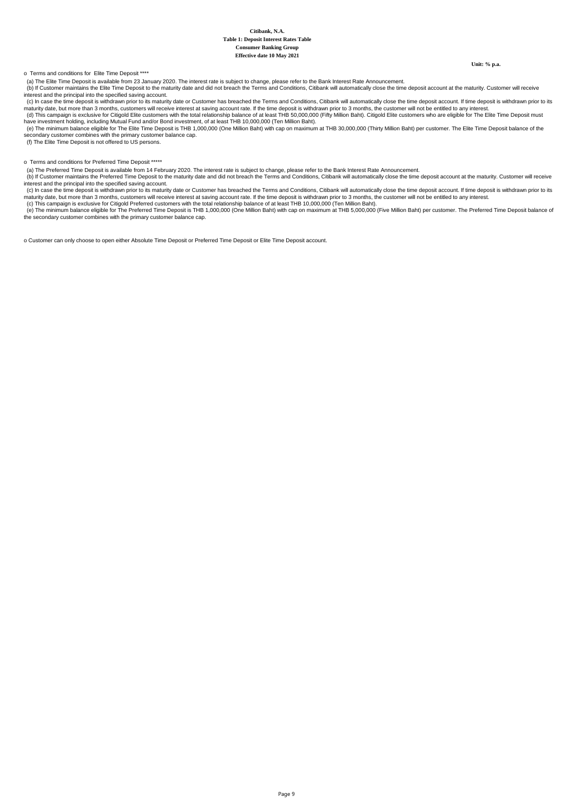**Unit: % p.a.**

## o Terms and conditions for Elite Time Deposit \*\*\*\*

(a) The Elite Time Deposit is available from 23 January 2020. The interest rate is subject to change, please refer to the Bank Interest Rate Announcement.

(b) If Customer maintains the Elite Time Deposit to the maturity date and did not breach the Terms and Conditions, Citibank will automatically close the time deposit account at the maturity. Customer will receive<br>interest

ance the time deposit is withdrawn prior to its maturity date or Customer has breached the Terms and Conditions, Citibank will automatically close the time deposit account. If time deposit is withdrawn prior to its maturity date, but more than 3 months, customers will receive interest at saving account rate. If the time deposit is withdrawn prior to 3 months, the customer will not be entitled to any interest.<br>(d) This campaign is exc

(e) The minimum balance eligible for The Elite Time Deposit is THB 1,000,000 (One Million Baht) with cap on maximum at THB 30,000,000 (Thirty Million Baht) per customer. The Elite Time Deposit balance of the

secondary customer combines with the primary customer balance cap.

(f) The Elite Time Deposit is not offered to US persons.

## o Terms and conditions for Preferred Time Deposit \*\*\*\*\*

(a) The Preferred Time Deposit is available from 14 February 2020. The interest rate is subject to change, please refer to the Bank Interest Rate Announcement.

 (b) If Customer maintains the Preferred Time Deposit to the maturity date and did not breach the Terms and Conditions, Citibank will automatically close the time deposit account at the maturity. Customer will receive interest and the principal into the specified saving account.<br>
interest and the principal into the specified saving account.<br>
(c) In case the time deposit is withdrawn prior to its maturity date or Customer has breached th

(c) In case the time deposit is withdrawn prior to its maturity date or Customer has breached the Terms and Conditions, Citibank will automatically close the time deposit account. If time deposit is withdrawn prior to its

o Customer can only choose to open either Absolute Time Deposit or Preferred Time Deposit or Elite Time Deposit account.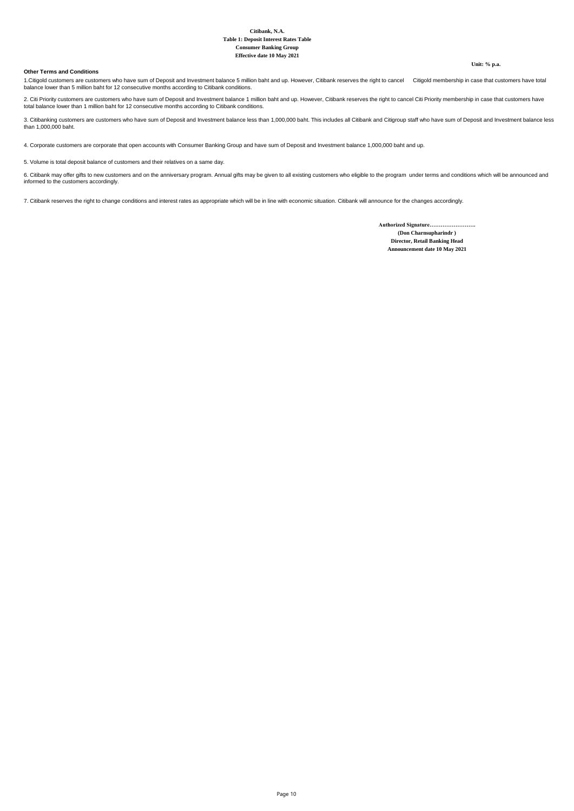#### **Other Terms and Conditions**

**Unit: % p.a.**

1.Citigold customers are customers who have sum of Deposit and Investment balance 5 million baht and up. However, Citibank reserves the right to cancel Citigold membership in case that customers have total<br>balance lower th

2. Citi Priority customers are customers who have sum of Deposit and Investment balance 1 million baht and up. However, Citibank reserves the right to cancel Citi Priority membership in case that customers have<br>total balan

3. Citibanking customers are customers who have sum of Deposit and Investment balance less than 1,000,000 baht. This includes all Citibank and Citigroup staff who have sum of Deposit and Investment balance less<br>than 1,000,

4. Corporate customers are corporate that open accounts with Consumer Banking Group and have sum of Deposit and Investment balance 1,000,000 baht and up.

5. Volume is total deposit balance of customers and their relatives on a same day.

6. Citibank may offer gifts to new customers and on the anniversary program. Annual gifts may be given to all existing customers who eligible to the program under terms and conditions which will be announced and<br>informed t

7. Citibank reserves the right to change conditions and interest rates as appropriate which will be in line with economic situation. Citibank will announce for the changes accordingly.

**Announcement date 10 May 2021 Director, Retail Banking Head Authorized Signature……………………. (Don Charnsupharindr )**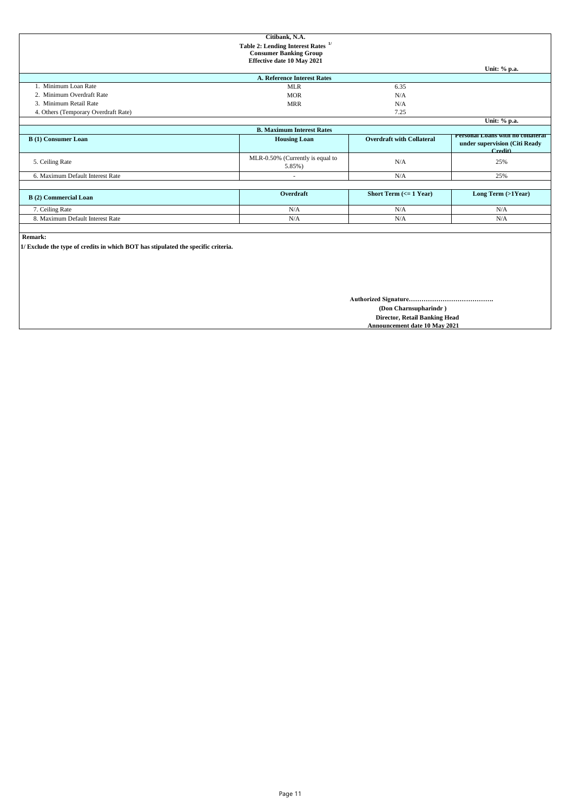|                                                                                   | Citibank, N.A.                                |                                               |                                                                               |
|-----------------------------------------------------------------------------------|-----------------------------------------------|-----------------------------------------------|-------------------------------------------------------------------------------|
|                                                                                   | Table 2: Lending Interest Rates <sup>1/</sup> |                                               |                                                                               |
|                                                                                   | <b>Consumer Banking Group</b>                 |                                               |                                                                               |
|                                                                                   | Effective date 10 May 2021                    |                                               |                                                                               |
|                                                                                   |                                               |                                               | Unit: % p.a.                                                                  |
|                                                                                   | <b>A. Reference Interest Rates</b>            |                                               |                                                                               |
| 1. Minimum Loan Rate                                                              | <b>MLR</b>                                    | 6.35                                          |                                                                               |
| 2. Minimum Overdraft Rate                                                         | <b>MOR</b>                                    | N/A                                           |                                                                               |
| 3. Minimum Retail Rate                                                            | <b>MRR</b>                                    | N/A                                           |                                                                               |
| 4. Others (Temporary Overdraft Rate)                                              |                                               | 7.25                                          |                                                                               |
|                                                                                   |                                               |                                               | Unit: % p.a.                                                                  |
|                                                                                   | <b>B. Maximum Interest Rates</b>              |                                               |                                                                               |
| <b>B</b> (1) Consumer Loan                                                        | <b>Housing Loan</b>                           | <b>Overdraft with Collateral</b>              | Personal Loans with no collateral<br>under supervision (Citi Ready<br>Credit) |
| 5. Ceiling Rate                                                                   | MLR-0.50% (Currently is equal to<br>5.85%)    | N/A                                           | 25%                                                                           |
| 6. Maximum Default Interest Rate                                                  | ٠                                             | N/A                                           | 25%                                                                           |
|                                                                                   |                                               |                                               |                                                                               |
| <b>B</b> (2) Commercial Loan                                                      | Overdraft                                     | <b>Short Term <math>(&lt;= 1</math> Year)</b> | Long Term (>1Year)                                                            |
| 7. Ceiling Rate                                                                   | N/A                                           | N/A                                           | N/A                                                                           |
| 8. Maximum Default Interest Rate                                                  | N/A                                           | N/A                                           | N/A                                                                           |
|                                                                                   |                                               |                                               |                                                                               |
| <b>Remark:</b>                                                                    |                                               |                                               |                                                                               |
| 1/ Exclude the type of credits in which BOT has stipulated the specific criteria. |                                               |                                               |                                                                               |
|                                                                                   |                                               |                                               |                                                                               |
|                                                                                   |                                               |                                               |                                                                               |

**Authorized Signature………………………………….**

 **(Don Charnsupharindr )**

**Director, Retail Banking Head<br>Announcement date 10 May 2021**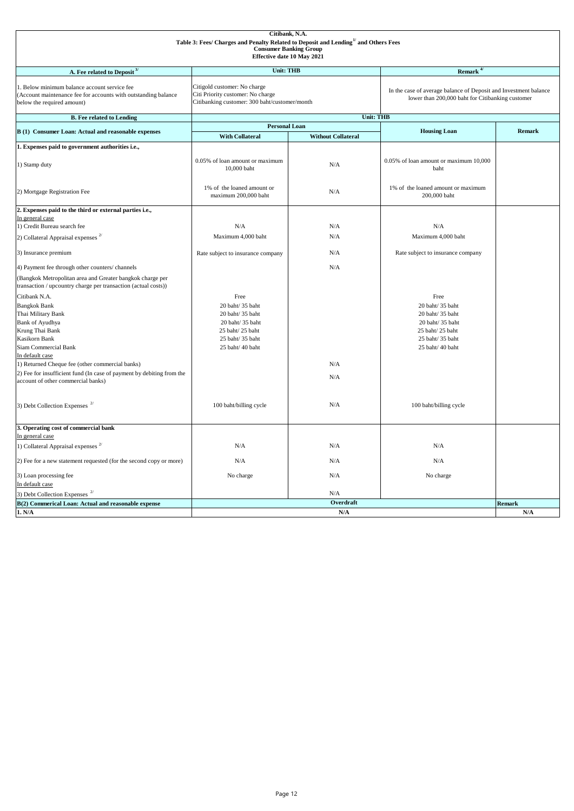| Citibank, N.A.<br>Table 3: Fees/ Charges and Penalty Related to Deposit and Lending <sup>1/</sup> and Others Fees<br><b>Consumer Banking Group</b><br>Effective date 10 May 2021 |                                                                                                                    |                           |                                                                                                                      |               |  |
|----------------------------------------------------------------------------------------------------------------------------------------------------------------------------------|--------------------------------------------------------------------------------------------------------------------|---------------------------|----------------------------------------------------------------------------------------------------------------------|---------------|--|
| A. Fee related to Deposit <sup>3/</sup>                                                                                                                                          | <b>Unit: THB</b>                                                                                                   |                           | Remark $^{4\prime}$                                                                                                  |               |  |
| 1. Below minimum balance account service fee<br>(Account maintenance fee for accounts with outstanding balance<br>below the required amount)                                     | Citigold customer: No charge<br>Citi Priority customer: No charge<br>Citibanking customer: 300 baht/customer/month |                           | In the case of average balance of Deposit and Investment balance<br>lower than 200,000 baht for Citibanking customer |               |  |
| <b>B.</b> Fee related to Lending                                                                                                                                                 |                                                                                                                    | <b>Unit: THB</b>          |                                                                                                                      |               |  |
|                                                                                                                                                                                  | <b>Personal Loan</b>                                                                                               |                           |                                                                                                                      |               |  |
| B (1) Consumer Loan: Actual and reasonable expenses                                                                                                                              | <b>With Collateral</b>                                                                                             | <b>Without Collateral</b> | <b>Housing Loan</b>                                                                                                  | <b>Remark</b> |  |
| 1. Expenses paid to government authorities i.e.,                                                                                                                                 |                                                                                                                    |                           |                                                                                                                      |               |  |
| 1) Stamp duty                                                                                                                                                                    | 0.05% of loan amount or maximum<br>10,000 baht                                                                     | N/A                       | 0.05% of loan amount or maximum 10,000<br>baht                                                                       |               |  |
| 2) Mortgage Registration Fee                                                                                                                                                     | 1% of the loaned amount or<br>maximum 200,000 baht                                                                 | N/A                       | 1% of the loaned amount or maximum<br>200,000 baht                                                                   |               |  |
| 2. Expenses paid to the third or external parties i.e.,                                                                                                                          |                                                                                                                    |                           |                                                                                                                      |               |  |
| In general case<br>1) Credit Bureau search fee                                                                                                                                   | N/A                                                                                                                | N/A                       | N/A                                                                                                                  |               |  |
|                                                                                                                                                                                  | Maximum 4,000 baht                                                                                                 | N/A                       | Maximum 4,000 baht                                                                                                   |               |  |
| 2) Collateral Appraisal expenses $2^{7}$                                                                                                                                         |                                                                                                                    |                           |                                                                                                                      |               |  |
| 3) Insurance premium                                                                                                                                                             | Rate subject to insurance company                                                                                  | N/A                       | Rate subject to insurance company                                                                                    |               |  |
| 4) Payment fee through other counters/ channels                                                                                                                                  |                                                                                                                    | N/A                       |                                                                                                                      |               |  |
| (Bangkok Metropolitan area and Greater bangkok charge per<br>transaction / upcountry charge per transaction (actual costs))                                                      |                                                                                                                    |                           |                                                                                                                      |               |  |
| Citibank N.A.                                                                                                                                                                    | Free                                                                                                               |                           | Free                                                                                                                 |               |  |
| <b>Bangkok Bank</b>                                                                                                                                                              | 20 baht/ 35 baht                                                                                                   |                           | 20 baht/ 35 baht                                                                                                     |               |  |
| Thai Military Bank                                                                                                                                                               | 20 baht/35 baht                                                                                                    |                           | 20 baht/35 baht                                                                                                      |               |  |
| <b>Bank of Ayudhya</b>                                                                                                                                                           | 20 baht/35 baht                                                                                                    |                           | 20 baht/ 35 baht                                                                                                     |               |  |
| Krung Thai Bank                                                                                                                                                                  | 25 baht/25 baht                                                                                                    |                           | 25 baht/25 baht                                                                                                      |               |  |
| Kasikorn Bank<br>Siam Commercial Bank                                                                                                                                            | 25 baht/35 baht<br>25 baht/ 40 baht                                                                                |                           | 25 baht/35 baht<br>25 baht/ 40 baht                                                                                  |               |  |
| In default case                                                                                                                                                                  |                                                                                                                    |                           |                                                                                                                      |               |  |
| 1) Returned Cheque fee (other commercial banks)                                                                                                                                  |                                                                                                                    | N/A                       |                                                                                                                      |               |  |
| 2) Fee for insufficient fund (In case of payment by debiting from the                                                                                                            |                                                                                                                    | N/A                       |                                                                                                                      |               |  |
| account of other commercial banks)                                                                                                                                               |                                                                                                                    |                           |                                                                                                                      |               |  |
| 3) Debt Collection Expenses $2/$                                                                                                                                                 | 100 baht/billing cycle                                                                                             | N/A                       | 100 baht/billing cycle                                                                                               |               |  |
| 3. Operating cost of commercial bank                                                                                                                                             |                                                                                                                    |                           |                                                                                                                      |               |  |
| In general case                                                                                                                                                                  |                                                                                                                    |                           |                                                                                                                      |               |  |
| 1) Collateral Appraisal expenses $^{2\prime}$                                                                                                                                    | N/A                                                                                                                | N/A                       | N/A                                                                                                                  |               |  |
| 2) Fee for a new statement requested (for the second copy or more)                                                                                                               | N/A                                                                                                                | N/A                       | N/A                                                                                                                  |               |  |
| 3) Loan processing fee                                                                                                                                                           | No charge                                                                                                          | N/A                       | No charge                                                                                                            |               |  |
| In default case                                                                                                                                                                  |                                                                                                                    |                           |                                                                                                                      |               |  |
| 3) Debt Collection Expenses $2^{7}$                                                                                                                                              |                                                                                                                    | N/A                       |                                                                                                                      |               |  |
| B(2) Commerical Loan: Actual and reasonable expense                                                                                                                              |                                                                                                                    | Overdraft                 |                                                                                                                      | <b>Remark</b> |  |
| 1. N/A                                                                                                                                                                           |                                                                                                                    | N/A                       |                                                                                                                      | N/A           |  |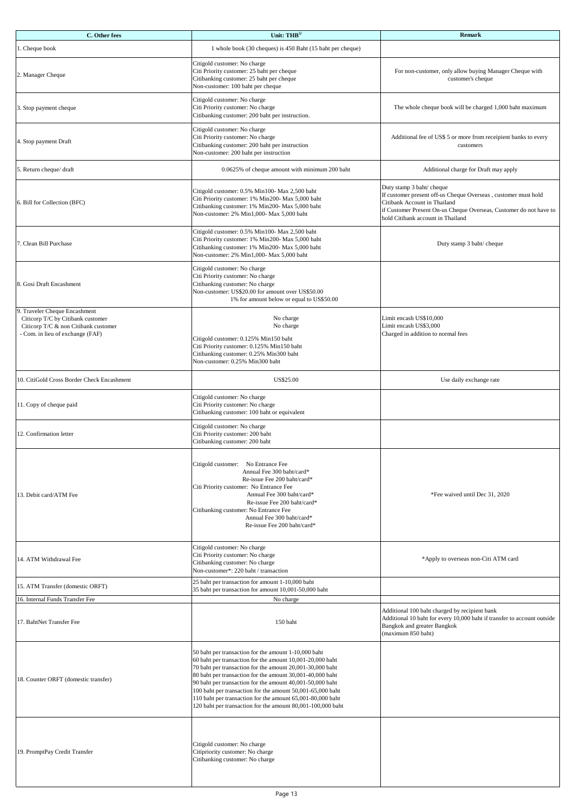| C. Other fees                                                                                                                                  | Unit: $THB5$                                                                                                                                                                                                                                                                                                                                                                                                                                                                                        | <b>Remark</b>                                                                                                                                                                                                                          |
|------------------------------------------------------------------------------------------------------------------------------------------------|-----------------------------------------------------------------------------------------------------------------------------------------------------------------------------------------------------------------------------------------------------------------------------------------------------------------------------------------------------------------------------------------------------------------------------------------------------------------------------------------------------|----------------------------------------------------------------------------------------------------------------------------------------------------------------------------------------------------------------------------------------|
| 1. Cheque book                                                                                                                                 | 1 whole book (30 cheques) is 450 Baht (15 baht per cheque)                                                                                                                                                                                                                                                                                                                                                                                                                                          |                                                                                                                                                                                                                                        |
| 2. Manager Cheque                                                                                                                              | Citigold customer: No charge<br>Citi Priority customer: 25 baht per cheque<br>Citibanking customer: 25 baht per cheque<br>Non-customer: 100 baht per cheque                                                                                                                                                                                                                                                                                                                                         | For non-customer, only allow buying Manager Cheque with<br>customer's cheque                                                                                                                                                           |
| 3. Stop payment cheque                                                                                                                         | Citigold customer: No charge<br>Citi Priority customer: No charge<br>Citibanking customer: 200 baht per instruction.                                                                                                                                                                                                                                                                                                                                                                                | The whole cheque book will be charged 1,000 baht maximum                                                                                                                                                                               |
| 4. Stop payment Draft                                                                                                                          | Citigold customer: No charge<br>Citi Priority customer: No charge<br>Citibanking customer: 200 baht per instruction<br>Non-customer: 200 baht per instruction                                                                                                                                                                                                                                                                                                                                       | Additional fee of US\$ 5 or more from receipient banks to every<br>customers                                                                                                                                                           |
| 5. Return cheque/ draft                                                                                                                        | 0.0625% of cheque amount with minimum 200 baht                                                                                                                                                                                                                                                                                                                                                                                                                                                      | Additional charge for Draft may apply                                                                                                                                                                                                  |
| 6. Bill for Collection (BFC)                                                                                                                   | Citigold customer: 0.5% Min100- Max 2,500 baht<br>Citi Priority customer: 1% Min200- Max 5,000 baht<br>Citibanking customer: 1% Min200- Max 5,000 baht<br>Non-customer: 2% Min1,000- Max 5,000 baht                                                                                                                                                                                                                                                                                                 | Duty stamp 3 baht/ cheque<br>If customer present off-us Cheque Overseas, customer must hold<br>Citibank Account in Thailand<br>if Customer Present On-us Cheque Overseas, Customer do not have to<br>hold Citibank account in Thailand |
| 7. Clean Bill Purchase                                                                                                                         | Citigold customer: 0.5% Min100- Max 2,500 baht<br>Citi Priority customer: 1% Min200- Max 5,000 baht<br>Citibanking customer: 1% Min200- Max 5,000 baht<br>Non-customer: 2% Min1,000- Max 5,000 baht                                                                                                                                                                                                                                                                                                 | Duty stamp 3 baht/ cheque                                                                                                                                                                                                              |
| 8. Gosi Draft Encashment                                                                                                                       | Citigold customer: No charge<br>Citi Priority customer: No charge<br>Citibanking customer: No charge<br>Non-customer: US\$20.00 for amount over US\$50.00<br>1% for amount below or equal to US\$50.00                                                                                                                                                                                                                                                                                              |                                                                                                                                                                                                                                        |
| 9. Traveler Cheque Encashment<br>Citicorp T/C by Citibank customer<br>Citicorp T/C & non Citibank customer<br>- Com. in lieu of exchange (FAF) | No charge<br>No charge<br>Citigold customer: 0.125% Min150 baht<br>Citi Priority customer: 0.125% Min150 baht<br>Citibanking customer: 0.25% Min300 baht<br>Non-customer: 0.25% Min300 baht                                                                                                                                                                                                                                                                                                         | Limit encash US\$10,000<br>Limit encash US\$3,000<br>Charged in addition to normal fees                                                                                                                                                |
| 10. CitiGold Cross Border Check Encashment                                                                                                     | US\$25.00                                                                                                                                                                                                                                                                                                                                                                                                                                                                                           | Use daily exchange rate                                                                                                                                                                                                                |
| 11. Copy of cheque paid                                                                                                                        | Citigold customer: No charge<br>Citi Priority customer: No charge<br>Citibanking customer: 100 baht or equivalent                                                                                                                                                                                                                                                                                                                                                                                   |                                                                                                                                                                                                                                        |
| 12. Confirmation letter                                                                                                                        | Citigold customer: No charge<br>Citi Priority customer: 200 baht<br>Citibanking customer: 200 baht                                                                                                                                                                                                                                                                                                                                                                                                  |                                                                                                                                                                                                                                        |
| 13. Debit card/ATM Fee                                                                                                                         | Citigold customer: No Entrance Fee<br>Annual Fee 300 baht/card*<br>Re-issue Fee 200 baht/card*<br>Citi Priority customer: No Entrance Fee<br>Annual Fee 300 baht/card*<br>Re-issue Fee 200 baht/card*<br>Citibanking customer: No Entrance Fee<br>Annual Fee 300 baht/card*<br>Re-issue Fee 200 baht/card*                                                                                                                                                                                          | *Fee waived until Dec 31, 2020                                                                                                                                                                                                         |
| 14. ATM Withdrawal Fee                                                                                                                         | Citigold customer: No charge<br>Citi Priority customer: No charge<br>Citibanking customer: No charge<br>Non-customer*: 220 baht / transaction                                                                                                                                                                                                                                                                                                                                                       | *Apply to overseas non-Citi ATM card                                                                                                                                                                                                   |
| 15. ATM Transfer (domestic ORFT)                                                                                                               | 25 baht per transaction for amount 1-10,000 baht<br>35 baht per transaction for amount 10,001-50,000 baht                                                                                                                                                                                                                                                                                                                                                                                           |                                                                                                                                                                                                                                        |
| 16. Internal Funds Transfer Fee<br>17. BahtNet Transfer Fee                                                                                    | No charge<br>150 baht                                                                                                                                                                                                                                                                                                                                                                                                                                                                               | Additional 100 baht charged by recipient bank<br>Additional 10 baht for every 10,000 baht if transfer to account outside<br>Bangkok and greater Bangkok<br>(maximum 850 baht)                                                          |
| 18. Counter ORFT (domestic transfer)                                                                                                           | 50 baht per transaction for the amount 1-10,000 baht<br>60 baht per transaction for the amount 10,001-20,000 baht<br>70 baht per transaction for the amount 20,001-30,000 baht<br>80 baht per transaction for the amount 30,001-40,000 baht<br>90 baht per transaction for the amount 40,001-50,000 baht<br>100 baht per transaction for the amount 50,001-65,000 baht<br>110 baht per transaction for the amount 65,001-80,000 baht<br>120 baht per transaction for the amount 80,001-100,000 baht |                                                                                                                                                                                                                                        |
| 19. PromptPay Credit Transfer                                                                                                                  | Citigold customer: No charge<br>Citipriority customer: No charge<br>Citibanking customer: No charge                                                                                                                                                                                                                                                                                                                                                                                                 |                                                                                                                                                                                                                                        |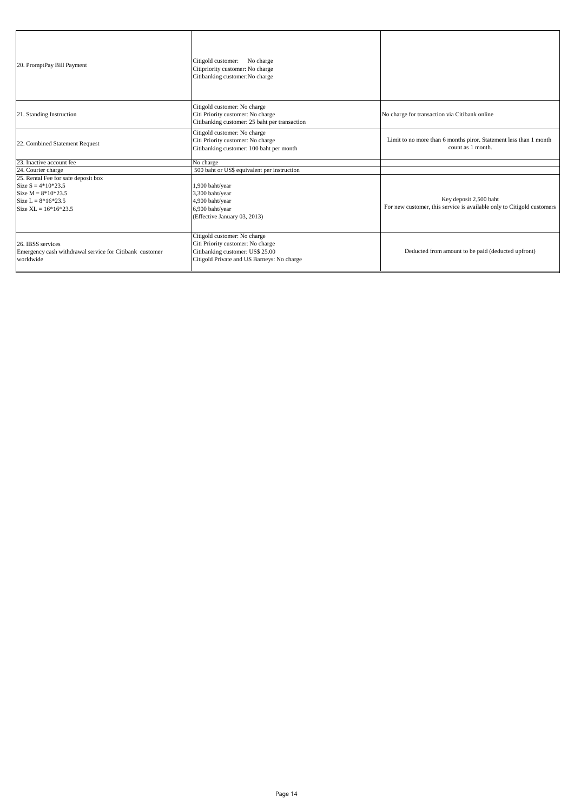| 20. PromptPay Bill Payment                                                                                                            | Citigold customer:<br>No charge<br>Citipriority customer: No charge<br>Citibanking customer:No charge                                               |                                                                                                  |
|---------------------------------------------------------------------------------------------------------------------------------------|-----------------------------------------------------------------------------------------------------------------------------------------------------|--------------------------------------------------------------------------------------------------|
| 21. Standing Instruction                                                                                                              | Citigold customer: No charge<br>Citi Priority customer: No charge<br>Citibanking customer: 25 baht per transaction                                  | No charge for transaction via Citibank online                                                    |
| 22. Combined Statement Request                                                                                                        | Citigold customer: No charge<br>Citi Priority customer: No charge<br>Citibanking customer: 100 baht per month                                       | Limit to no more than 6 months piror. Statement less than 1 month<br>count as 1 month.           |
| 23. Inactive account fee                                                                                                              | No charge                                                                                                                                           |                                                                                                  |
| 24. Courier charge                                                                                                                    | 500 baht or US\$ equivalent per instruction                                                                                                         |                                                                                                  |
| 25. Rental Fee for safe deposit box<br>Size $S = 4*10*23.5$<br>Size $M = 8*10*23.5$<br>Size $L = 8*16*23.5$<br>Size XL = $16*16*23.5$ | 1,900 baht/year<br>3,300 baht/year<br>4,900 baht/year<br>6,900 baht/year<br>(Effective January 03, 2013)                                            | Key deposit 2,500 baht<br>For new customer, this service is available only to Citigold customers |
| 26. IBSS services<br>Emergency cash withdrawal service for Citibank customer<br>worldwide                                             | Citigold customer: No charge<br>Citi Priority customer: No charge<br>Citibanking customer: US\$ 25.00<br>Citigold Private and US Barneys: No charge | Deducted from amount to be paid (deducted upfront)                                               |